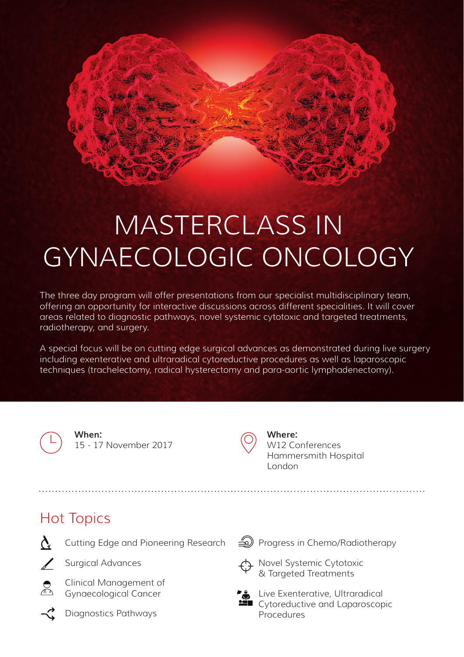# MASTERCLASS IN GYNAECOLOGIC ONCOLOGY

The three day program will offer presentations from our specialist multidisciplinary team, offering an opportunity for interactive discussions across different specialities. It will cover areas related to diagnostic pathways, novel systemic cytotoxic and targeted treatments, radiotherapy, and surgery.

A special focus will be on cutting edge surgical advances as demonstrated during live surgery including exenterative and ultraradical cytoreductive procedures as well as laparoscopic techniques (trachelectomy, radical hysterectomy and para-aortic lymphadenectomy).

**When:** 15 - 17 November 2017

Cutting Edge and Pioneering Research



**Where:** W12 Conferences Hammersmith Hospital London

### Hot Topics



Surgical Advances



Clinical Management of Gynaecological Cancer



Diagnostics Pathways

Progress in Chemo/Radiotherapy



Novel Systemic Cytotoxic & Targeted Treatments



Live Exenterative, Ultraradical Cytoreductive and Laparoscopic **Procedures**